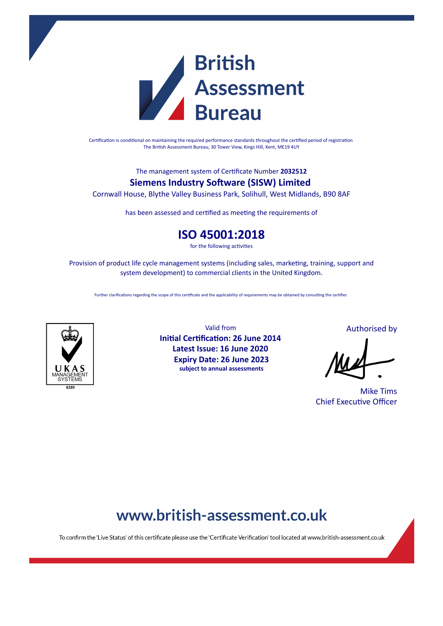

Certification is conditional on maintaining the required performance standards throughout the certified period of registration The British Assessment Bureau, 30 Tower View, Kings Hill, Kent, ME19 4UY

The management system of Cerficate Number **2032512**

### **Siemens Industry Software (SISW) Limited**

Cornwall House, Blythe Valley Business Park, Solihull, West Midlands, B90 8AF

has been assessed and certified as meeting the requirements of

### **ISO 45001:2018**

for the following activities

Provision of product life cycle management systems (including sales, marketing, training, support and system development) to commercial clients in the United Kingdom.

Further clarifications regarding the scope of this certificate and the applicability of requirements may be obtained by consulting the certifier.



Valid from **Initial Certification: 26 June 2014 Latest Issue: 16 June 2020 Expiry Date: 26 June 2023 subject to annual assessments**

Authorised by

Mike Tims **Chief Executive Officer** 

### www.british-assessment.co.uk

To confirm the 'Live Status' of this certificate please use the 'Certificate Verification' tool located at www.british-assessment.co.uk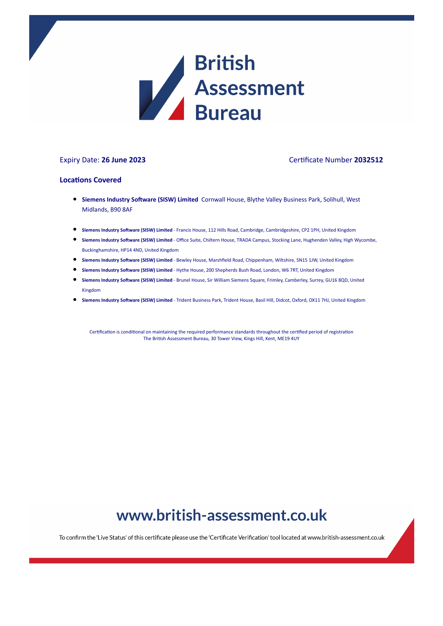

#### Expiry Date: **26 June 2023** Cerficate Number **2032512**

#### **Locations Covered**

- **Siemens Industry Software (SISW) Limited** Cornwall House, Blythe Valley Business Park, Solihull, West Midlands, B90 8AF
- **Siemens Industry Soware (SISW) Limited** Francis House, 112 Hills Road, Cambridge, Cambridgeshire, CP2 1PH, United Kingdom
- **Siemens Industry Software (SISW) Limited Office Suite, Chiltern House, TRADA Campus, Stocking Lane, Hughenden Valley, High Wycombe,** Buckinghamshire, HP14 4ND, United Kingdom
- **Siemens Industry Software (SISW) Limited Bewley House, Marshfield Road, Chippenham, Wiltshire, SN15 1JW, United Kingdom**
- **Siemens Industry Software (SISW) Limited Hythe House, 200 Shepherds Bush Road, London, W6 7RT, United Kingdom**
- **Siemens Industry Software (SISW) Limited** Brunel House, Sir William Siemens Square, Frimley, Camberley, Surrey, GU16 8QD, United Kingdom
- **Siemens Industry Soware (SISW) Limited** Trident Business Park, Trident House, Basil Hill, Didcot, Oxford, OX11 7HJ, United Kingdom

Certification is conditional on maintaining the required performance standards throughout the certified period of registration The British Assessment Bureau, 30 Tower View, Kings Hill, Kent, ME19 4UY

## www.british-assessment.co.uk

To confirm the 'Live Status' of this certificate please use the 'Certificate Verification' tool located at www.british-assessment.co.uk